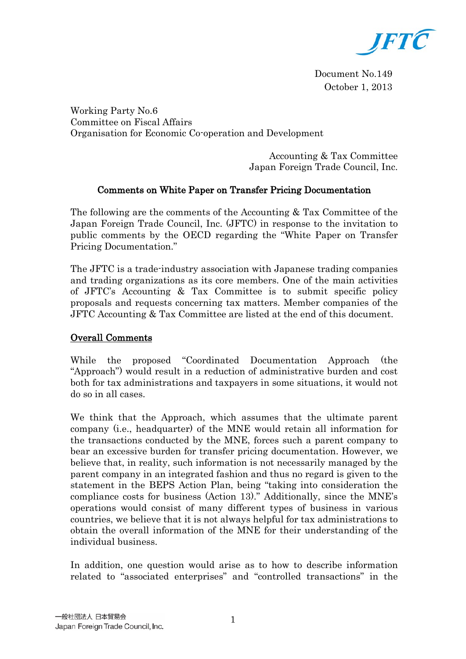

Document No.149 October 1, 2013

Working Party No.6 Committee on Fiscal Affairs Organisation for Economic Co-operation and Development

> Accounting & Tax Committee Japan Foreign Trade Council, Inc.

# Comments on White Paper on Transfer Pricing Documentation

The following are the comments of the Accounting & Tax Committee of the Japan Foreign Trade Council, Inc. (JFTC) in response to the invitation to public comments by the OECD regarding the "White Paper on Transfer Pricing Documentation."

The JFTC is a trade-industry association with Japanese trading companies and trading organizations as its core members. One of the main activities of JFTC's Accounting & Tax Committee is to submit specific policy proposals and requests concerning tax matters. Member companies of the JFTC Accounting & Tax Committee are listed at the end of this document.

## Overall Comments

While the proposed "Coordinated Documentation Approach (the "Approach") would result in a reduction of administrative burden and cost both for tax administrations and taxpayers in some situations, it would not do so in all cases.

We think that the Approach, which assumes that the ultimate parent company (i.e., headquarter) of the MNE would retain all information for the transactions conducted by the MNE, forces such a parent company to bear an excessive burden for transfer pricing documentation. However, we believe that, in reality, such information is not necessarily managed by the parent company in an integrated fashion and thus no regard is given to the statement in the BEPS Action Plan, being "taking into consideration the compliance costs for business (Action 13)." Additionally, since the MNE's operations would consist of many different types of business in various countries, we believe that it is not always helpful for tax administrations to obtain the overall information of the MNE for their understanding of the individual business.

In addition, one question would arise as to how to describe information related to "associated enterprises" and "controlled transactions" in the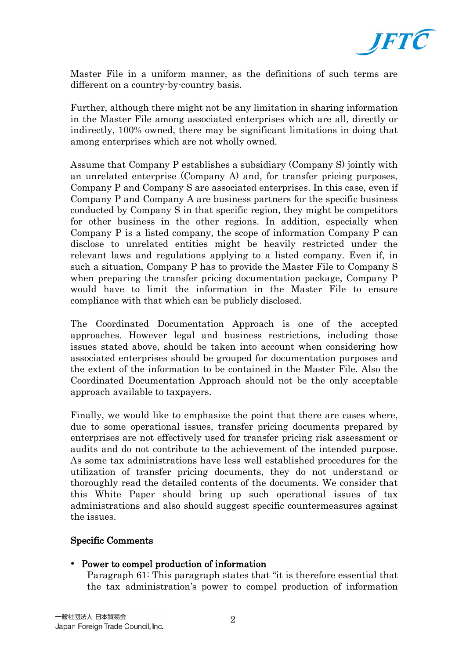

Master File in a uniform manner, as the definitions of such terms are different on a country-by-country basis.

Further, although there might not be any limitation in sharing information in the Master File among associated enterprises which are all, directly or indirectly, 100% owned, there may be significant limitations in doing that among enterprises which are not wholly owned.

Assume that Company P establishes a subsidiary (Company S) jointly with an unrelated enterprise (Company A) and, for transfer pricing purposes, Company P and Company S are associated enterprises. In this case, even if Company P and Company A are business partners for the specific business conducted by Company S in that specific region, they might be competitors for other business in the other regions. In addition, especially when Company P is a listed company, the scope of information Company P can disclose to unrelated entities might be heavily restricted under the relevant laws and regulations applying to a listed company. Even if, in such a situation, Company P has to provide the Master File to Company S when preparing the transfer pricing documentation package, Company P would have to limit the information in the Master File to ensure compliance with that which can be publicly disclosed.

The Coordinated Documentation Approach is one of the accepted approaches. However legal and business restrictions, including those issues stated above, should be taken into account when considering how associated enterprises should be grouped for documentation purposes and the extent of the information to be contained in the Master File. Also the Coordinated Documentation Approach should not be the only acceptable approach available to taxpayers.

Finally, we would like to emphasize the point that there are cases where, due to some operational issues, transfer pricing documents prepared by enterprises are not effectively used for transfer pricing risk assessment or audits and do not contribute to the achievement of the intended purpose. As some tax administrations have less well established procedures for the utilization of transfer pricing documents, they do not understand or thoroughly read the detailed contents of the documents. We consider that this White Paper should bring up such operational issues of tax administrations and also should suggest specific countermeasures against the issues.

### Specific Comments

### Power to compel production of information

Paragraph 61: This paragraph states that "it is therefore essential that the tax administration's power to compel production of information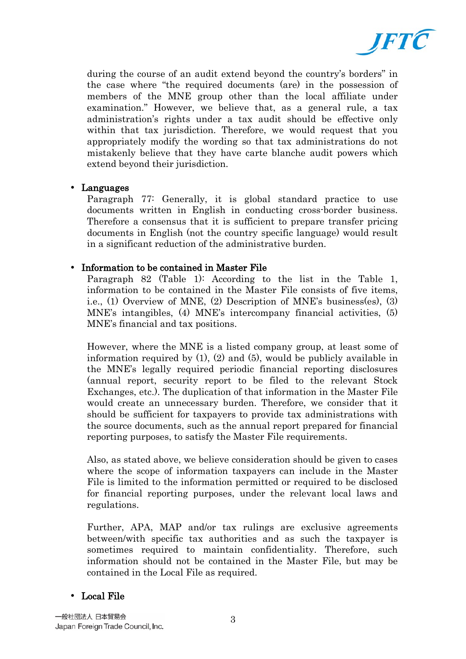

during the course of an audit extend beyond the country's borders" in the case where "the required documents (are) in the possession of members of the MNE group other than the local affiliate under examination." However, we believe that, as a general rule, a tax administration's rights under a tax audit should be effective only within that tax jurisdiction. Therefore, we would request that you appropriately modify the wording so that tax administrations do not mistakenly believe that they have carte blanche audit powers which extend beyond their jurisdiction.

### Languages

Paragraph 77: Generally, it is global standard practice to use documents written in English in conducting cross-border business. Therefore a consensus that it is sufficient to prepare transfer pricing documents in English (not the country specific language) would result in a significant reduction of the administrative burden.

## • Information to be contained in Master File

Paragraph 82 (Table 1): According to the list in the Table 1, information to be contained in the Master File consists of five items, i.e., (1) Overview of MNE, (2) Description of MNE's business(es), (3) MNE's intangibles, (4) MNE's intercompany financial activities, (5) MNE's financial and tax positions.

However, where the MNE is a listed company group, at least some of information required by (1), (2) and (5), would be publicly available in the MNE's legally required periodic financial reporting disclosures (annual report, security report to be filed to the relevant Stock Exchanges, etc.). The duplication of that information in the Master File would create an unnecessary burden. Therefore, we consider that it should be sufficient for taxpayers to provide tax administrations with the source documents, such as the annual report prepared for financial reporting purposes, to satisfy the Master File requirements.

Also, as stated above, we believe consideration should be given to cases where the scope of information taxpayers can include in the Master File is limited to the information permitted or required to be disclosed for financial reporting purposes, under the relevant local laws and regulations.

Further, APA, MAP and/or tax rulings are exclusive agreements between/with specific tax authorities and as such the taxpayer is sometimes required to maintain confidentiality. Therefore, such information should not be contained in the Master File, but may be contained in the Local File as required.

## Local File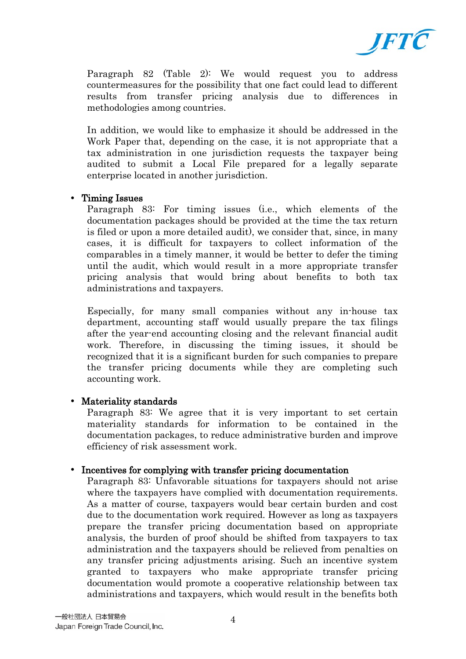

Paragraph 82 (Table 2): We would request you to address countermeasures for the possibility that one fact could lead to different results from transfer pricing analysis due to differences in methodologies among countries.

In addition, we would like to emphasize it should be addressed in the Work Paper that, depending on the case, it is not appropriate that a tax administration in one jurisdiction requests the taxpayer being audited to submit a Local File prepared for a legally separate enterprise located in another jurisdiction.

## • Timing Issues

Paragraph 83: For timing issues (i.e., which elements of the documentation packages should be provided at the time the tax return is filed or upon a more detailed audit), we consider that, since, in many cases, it is difficult for taxpayers to collect information of the comparables in a timely manner, it would be better to defer the timing until the audit, which would result in a more appropriate transfer pricing analysis that would bring about benefits to both tax administrations and taxpayers.

Especially, for many small companies without any in-house tax department, accounting staff would usually prepare the tax filings after the year-end accounting closing and the relevant financial audit work. Therefore, in discussing the timing issues, it should be recognized that it is a significant burden for such companies to prepare the transfer pricing documents while they are completing such accounting work.

### • Materiality standards

Paragraph 83: We agree that it is very important to set certain materiality standards for information to be contained in the documentation packages, to reduce administrative burden and improve efficiency of risk assessment work.

## • Incentives for complying with transfer pricing documentation

Paragraph 83: Unfavorable situations for taxpayers should not arise where the taxpayers have complied with documentation requirements. As a matter of course, taxpayers would bear certain burden and cost due to the documentation work required. However as long as taxpayers prepare the transfer pricing documentation based on appropriate analysis, the burden of proof should be shifted from taxpayers to tax administration and the taxpayers should be relieved from penalties on any transfer pricing adjustments arising. Such an incentive system granted to taxpayers who make appropriate transfer pricing documentation would promote a cooperative relationship between tax administrations and taxpayers, which would result in the benefits both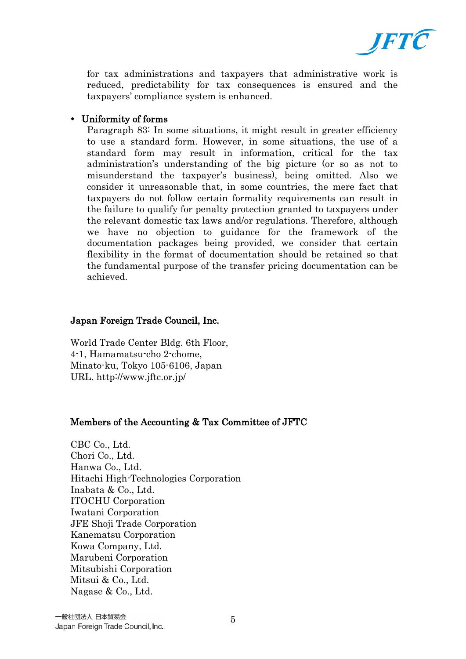

for tax administrations and taxpayers that administrative work is reduced, predictability for tax consequences is ensured and the taxpayers' compliance system is enhanced.

### Uniformity of forms

Paragraph 83: In some situations, it might result in greater efficiency to use a standard form. However, in some situations, the use of a standard form may result in information, critical for the tax administration's understanding of the big picture (or so as not to misunderstand the taxpayer's business), being omitted. Also we consider it unreasonable that, in some countries, the mere fact that taxpayers do not follow certain formality requirements can result in the failure to qualify for penalty protection granted to taxpayers under the relevant domestic tax laws and/or regulations. Therefore, although we have no objection to guidance for the framework of the documentation packages being provided, we consider that certain flexibility in the format of documentation should be retained so that the fundamental purpose of the transfer pricing documentation can be achieved.

## Japan Foreign Trade Council, Inc.

World Trade Center Bldg. 6th Floor, 4-1, Hamamatsu-cho 2-chome, Minato-ku, Tokyo 105-6106, Japan URL. http://www.jftc.or.jp/

### Members of the Accounting & Tax Committee of JFTC

CBC Co., Ltd. Chori Co., Ltd. Hanwa Co., Ltd. Hitachi High-Technologies Corporation Inabata & Co., Ltd. ITOCHU Corporation Iwatani Corporation JFE Shoji Trade Corporation Kanematsu Corporation Kowa Company, Ltd. Marubeni Corporation Mitsubishi Corporation Mitsui & Co., Ltd. Nagase & Co., Ltd.